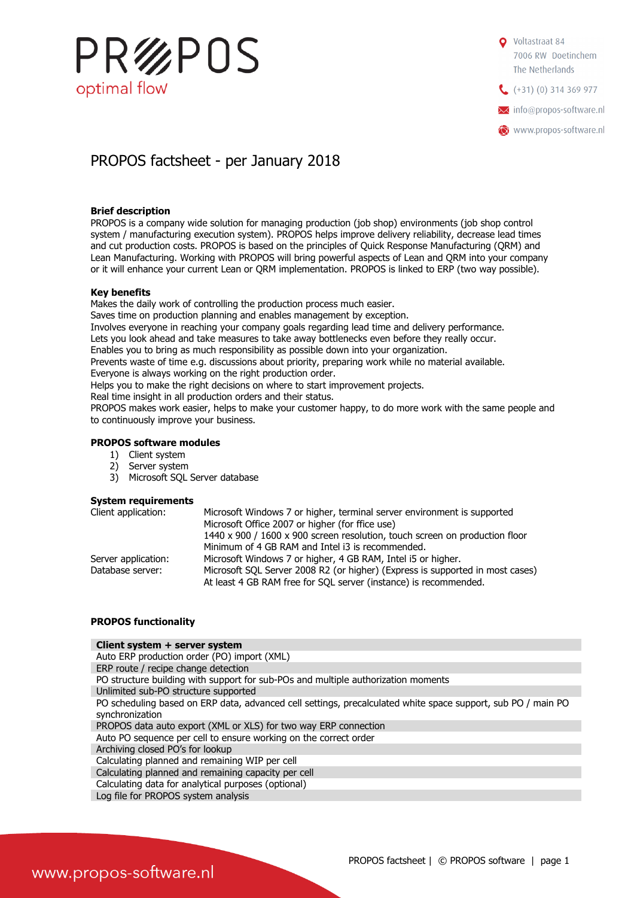

Voltastraat 84 7006 RW Doetinchem The Netherlands  $(+31)(0)$  314 369 977 **X** info@propos-software.nl www.propos-software.nl

## PROPOS factsheet - per January 2018

#### Brief description

PROPOS is a company wide solution for managing production (job shop) environments (job shop control system / manufacturing execution system). PROPOS helps improve delivery reliability, decrease lead times and cut production costs. PROPOS is based on the principles of Quick Response Manufacturing (QRM) and Lean Manufacturing. Working with PROPOS will bring powerful aspects of Lean and QRM into your company or it will enhance your current Lean or QRM implementation. PROPOS is linked to ERP (two way possible).

#### Key benefits

Makes the daily work of controlling the production process much easier.

Saves time on production planning and enables management by exception.

Involves everyone in reaching your company goals regarding lead time and delivery performance.

Lets you look ahead and take measures to take away bottlenecks even before they really occur.

Enables you to bring as much responsibility as possible down into your organization.

Prevents waste of time e.g. discussions about priority, preparing work while no material available.

Everyone is always working on the right production order. Helps you to make the right decisions on where to start improvement projects.

Real time insight in all production orders and their status.

PROPOS makes work easier, helps to make your customer happy, to do more work with the same people and to continuously improve your business.

#### PROPOS software modules

- 1) Client system
- 2) Server system
- 3) Microsoft SQL Server database

#### System requirements

| Client application: | Microsoft Windows 7 or higher, terminal server environment is supported                                                                           |
|---------------------|---------------------------------------------------------------------------------------------------------------------------------------------------|
|                     | Microsoft Office 2007 or higher (for ffice use)                                                                                                   |
|                     | 1440 x 900 / 1600 x 900 screen resolution, touch screen on production floor                                                                       |
|                     | Minimum of 4 GB RAM and Intel i3 is recommended.                                                                                                  |
| Server application: | Microsoft Windows 7 or higher, 4 GB RAM, Intel i5 or higher.                                                                                      |
| Database server:    | Microsoft SQL Server 2008 R2 (or higher) (Express is supported in most cases)<br>At least 4 GB RAM free for SQL server (instance) is recommended. |

### PROPOS functionality

#### Client system + server system

- Auto ERP production order (PO) import (XML)
- ERP route / recipe change detection
- PO structure building with support for sub-POs and multiple authorization moments
- Unlimited sub-PO structure supported

PO scheduling based on ERP data, advanced cell settings, precalculated white space support, sub PO / main PO synchronization

PROPOS data auto export (XML or XLS) for two way ERP connection

- Auto PO sequence per cell to ensure working on the correct order
- Archiving closed PO's for lookup
- Calculating planned and remaining WIP per cell
- Calculating planned and remaining capacity per cell
- Calculating data for analytical purposes (optional)
- Log file for PROPOS system analysis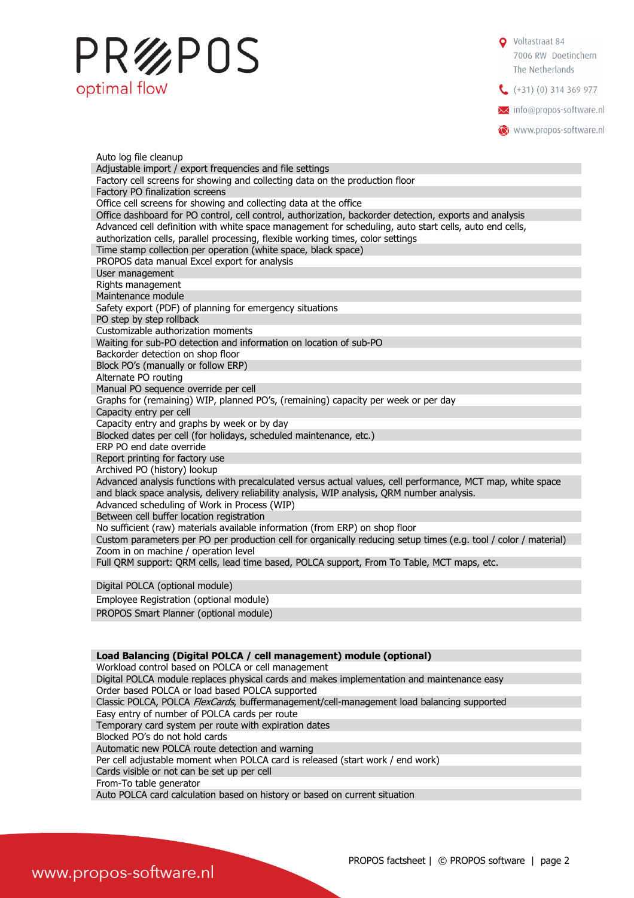# PR%POS optimal flow

Voltastraat 84 7006 RW Doetinchem The Netherlands  $(+31)(0)$  314 369 977 **X** info@propos-software.nl

www.propos-software.nl

Auto log file cleanup Adjustable import / export frequencies and file settings Factory cell screens for showing and collecting data on the production floor Factory PO finalization screens Office cell screens for showing and collecting data at the office Office dashboard for PO control, cell control, authorization, backorder detection, exports and analysis Advanced cell definition with white space management for scheduling, auto start cells, auto end cells, authorization cells, parallel processing, flexible working times, color settings Time stamp collection per operation (white space, black space) PROPOS data manual Excel export for analysis User management Rights management Maintenance module Safety export (PDF) of planning for emergency situations PO step by step rollback Customizable authorization moments Waiting for sub-PO detection and information on location of sub-PO Backorder detection on shop floor Block PO's (manually or follow ERP) Alternate PO routing Manual PO sequence override per cell Graphs for (remaining) WIP, planned PO's, (remaining) capacity per week or per day Capacity entry per cell Capacity entry and graphs by week or by day Blocked dates per cell (for holidays, scheduled maintenance, etc.) ERP PO end date override Report printing for factory use Archived PO (history) lookup Advanced analysis functions with precalculated versus actual values, cell performance, MCT map, white space and black space analysis, delivery reliability analysis, WIP analysis, QRM number analysis. Advanced scheduling of Work in Process (WIP) Between cell buffer location registration No sufficient (raw) materials available information (from ERP) on shop floor Custom parameters per PO per production cell for organically reducing setup times (e.g. tool / color / material) Zoom in on machine / operation level Full QRM support: QRM cells, lead time based, POLCA support, From To Table, MCT maps, etc. Digital POLCA (optional module)

Employee Registration (optional module)

PROPOS Smart Planner (optional module)

|                                                    | Load Balancing (Digital POLCA / cell management) module (optional) |
|----------------------------------------------------|--------------------------------------------------------------------|
| Workload control based on POLCA or cell management |                                                                    |

Digital POLCA module replaces physical cards and makes implementation and maintenance easy

Order based POLCA or load based POLCA supported

Classic POLCA, POLCA FlexCards, buffermanagement/cell-management load balancing supported

Easy entry of number of POLCA cards per route

Temporary card system per route with expiration dates

Blocked PO's do not hold cards

Automatic new POLCA route detection and warning

Per cell adjustable moment when POLCA card is released (start work / end work)

Cards visible or not can be set up per cell

From-To table generator

Auto POLCA card calculation based on history or based on current situation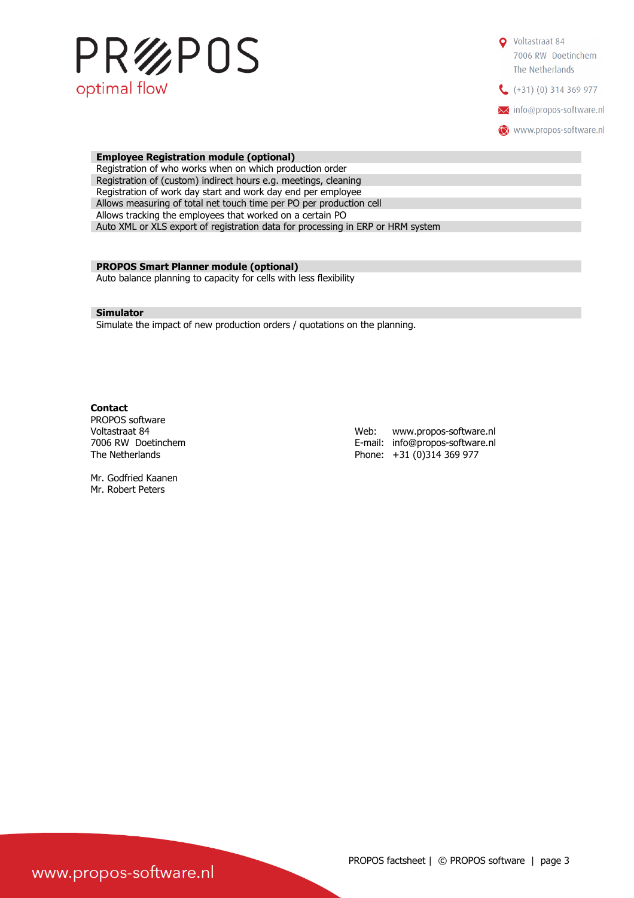

| <b>Employee Registration module (optional)</b>                                  |  |  |
|---------------------------------------------------------------------------------|--|--|
| Registration of who works when on which production order                        |  |  |
| Registration of (custom) indirect hours e.g. meetings, cleaning                 |  |  |
| Registration of work day start and work day end per employee                    |  |  |
| Allows measuring of total net touch time per PO per production cell             |  |  |
| Allows tracking the employees that worked on a certain PO                       |  |  |
| Auto XML or XLS export of registration data for processing in ERP or HRM system |  |  |
|                                                                                 |  |  |

#### PROPOS Smart Planner module (optional)

Auto balance planning to capacity for cells with less flexibility

#### Simulator

Simulate the impact of new production orders / quotations on the planning.

#### **Contact**

PROPOS software

Voltastraat 84 Web: www.propos-software.nl E-mail: info@propos-software.nl The Netherlands **Phone:** +31 (0)314 369 977

Mr. Godfried Kaanen Mr. Robert Peters

www.propos-software.nl